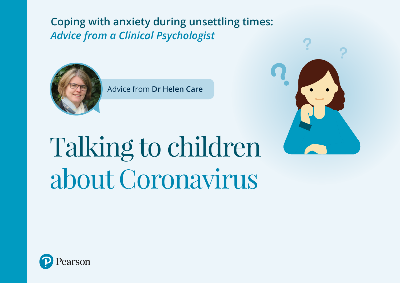**Coping with anxiety during unsettling times:**  *Advice from a Clinical Psychologist*



Advice from **Dr Helen Care**



# Talking to children about Coronavirus

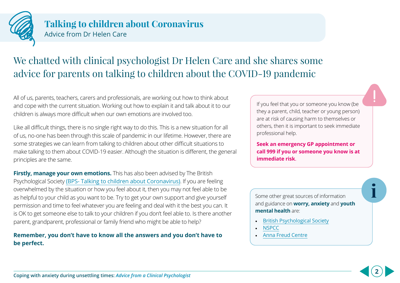

## We chatted with clinical psychologist Dr Helen Care and she shares some advice for parents on talking to children about the COVID-19 pandemic

All of us, parents, teachers, carers and professionals, are working out how to think about and cope with the current situation. Working out how to explain it and talk about it to our children is always more difficult when our own emotions are involved too.

Like all difficult things, there is no single right way to do this. This is a new situation for all of us, no-one has been through this scale of pandemic in our lifetime. However, there are some strategies we can learn from talking to children about other difficult situations to make talking to them about COVID-19 easier. Although the situation is different, the general principles are the same.

**Firstly, manage your own emotions.** This has also been advised by The British Psychological Society [\(BPS- Talking to children about Coronavirus\)](https://www.bps.org.uk/sites/www.bps.org.uk/files/Policy/Policy%20-%20Files/Talking%20to%20children%20about%20coronavirus.pdf). If you are feeling overwhelmed by the situation or how you feel about it, then you may not feel able to be as helpful to your child as you want to be. Try to get your own support and give yourself permission and time to feel whatever you are feeling and deal with it the best you can. It is OK to get someone else to talk to your children if you don't feel able to. Is there another parent, grandparent, professional or family friend who might be able to help?

#### **Remember, you don't have to know all the answers and you don't have to be perfect.**

If you feel that you or someone you know (be they a parent, child, teacher or young person) are at risk of causing harm to themselves or others, then it is important to seek immediate professional help.

**Seek an emergency GP appointment or call 999 if you or someone you know is at immediate risk**.

Some other great sources of information and guidance on **worry, anxiety** and **youth mental health** are:

**i**

**2**

- [British Psychological Society](https://www.bps.org.uk)
- [NSPCC](https://www.nspcc.org.uk)
- [Anna Freud Centre](https://www.annafreud.org/)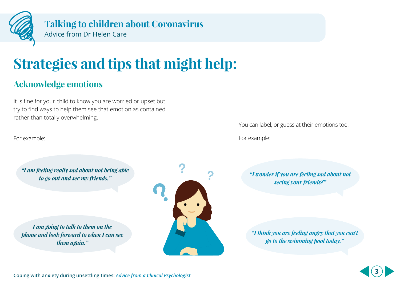

## **Strategies and tips that might help:**

## **Acknowledge emotions**

It is fine for your child to know you are worried or upset but try to find ways to help them see that emotion as contained rather than totally overwhelming.

For example:

*"I am feeling really sad about not being able* 

*I am going to talk to them on the phone and look forward to when I can see them again."*



You can label, or guess at their emotions too.

For example:

*to go out and see my friends." "I wonder if you are feeling sad about not seeing your friends?"*

> *"I think you are feeling angry that you can't go to the swimming pool today."*

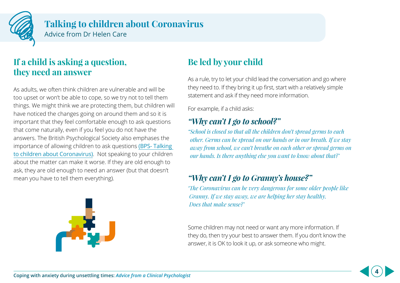

## **If a child is asking a question, they need an answer**

As adults, we often think children are vulnerable and will be too upset or won't be able to cope, so we try not to tell them things. We might think we are protecting them, but children will have noticed the changes going on around them and so it is important that they feel comfortable enough to ask questions that come naturally, even if you feel you do not have the answers. The British Psychological Society also emphases the importance of allowing children to ask questions [\(BPS- Talking](https://www.bps.org.uk/sites/www.bps.org.uk/files/Policy/Policy%20-%20Files/Talking%20to%20children%20about%20coronavirus.pdf)  [to children about Coronavirus\)](https://www.bps.org.uk/sites/www.bps.org.uk/files/Policy/Policy%20-%20Files/Talking%20to%20children%20about%20coronavirus.pdf). Not speaking to your children about the matter can make it worse. If they are old enough to ask, they are old enough to need an answer (but that doesn't mean you have to tell them everything).



## **Be led by your child**

As a rule, try to let your child lead the conversation and go where they need to. If they bring it up first, start with a relatively simple statement and ask if they need more information.

For example, if a child asks:

## *"Why can't I go to school?"*

*"School is closed so that all the children don't spread germs to each other. Germs can be spread on our hands or in our breath. If we stay away from school, we can't breathe on each other or spread germs on our hands. Is there anything else you want to know about that?'* 

## *"Why can't I go to Granny's house?"*

*'The Coronavirus can be very dangerous for some older people like Granny. If we stay away, we are helping her stay healthy. Does that make sense?'*

Some children may not need or want any more information. If they do, then try your best to answer them. If you don't know the answer, it is OK to look it up, or ask someone who might.

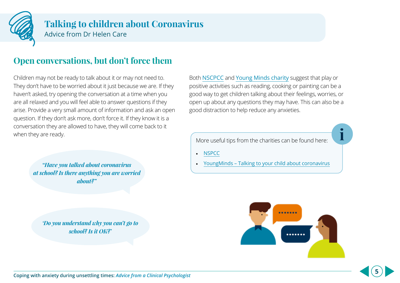

## **Open conversations, but don't force them**

Children may not be ready to talk about it or may not need to. They don't have to be worried about it just because we are. If they haven't asked, try opening the conversation at a time when you are all relaxed and you will feel able to answer questions if they arise. Provide a very small amount of information and ask an open question. If they don't ask more, don't force it. If they know it is a conversation they are allowed to have, they will come back to it when they are ready.

> *"Have you talked about coronavirus at school? Is there anything you are worried about?"*

*'Do you understand why you can't go to school? Is it OK?'*

Both NSCPCC and [Young Minds charity](https://youngminds.org.uk) suggest that play or positive activities such as reading, cooking or painting can be a good way to get children talking about their feelings, worries, or open up about any questions they may have. This can also be a good distraction to help reduce any anxieties.

More useful tips from the charities can be found here:

• NSPCC

• [YoungMinds – Talking to your child about coronavirus](https://youngminds.org.uk/blog/talking-to-your-child-about-coronavirus/)



**i**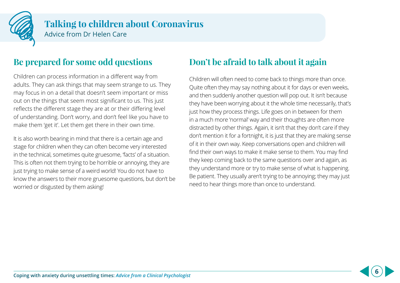

## **Be prepared for some odd questions**

Children can process information in a different way from adults. They can ask things that may seem strange to us. They may focus in on a detail that doesn't seem important or miss out on the things that seem most significant to us. This just reflects the different stage they are at or their differing level of understanding. Don't worry, and don't feel like you have to make them 'get it'. Let them get there in their own time.

It is also worth bearing in mind that there is a certain age and stage for children when they can often become very interested in the technical, sometimes quite gruesome, 'facts' of a situation. This is often not them trying to be horrible or annoying, they are just trying to make sense of a weird world! You do not have to know the answers to their more gruesome questions, but don't be worried or disgusted by them asking!

## **Don't be afraid to talk about it again**

Children will often need to come back to things more than once. Quite often they may say nothing about it for days or even weeks, and then suddenly another question will pop out. It isn't because they have been worrying about it the whole time necessarily, that's just how they process things. Life goes on in between for them in a much more 'normal' way and their thoughts are often more distracted by other things. Again, it isn't that they don't care if they don't mention it for a fortnight, it is just that they are making sense of it in their own way. Keep conversations open and children will find their own ways to make it make sense to them. You may find they keep coming back to the same questions over and again, as they understand more or try to make sense of what is happening. Be patient. They usually aren't trying to be annoying; they may just need to hear things more than once to understand.

**6**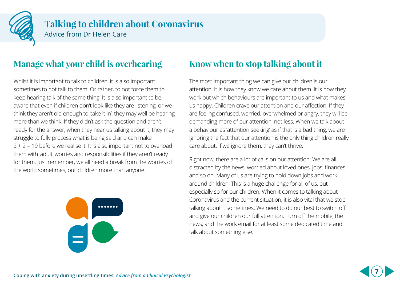

## **Manage what your child is overhearing**

Whilst it is important to talk to children, it is also important sometimes to not talk to them. Or rather, to not force them to keep hearing talk of the same thing. It is also important to be aware that even if children don't look like they are listening, or we think they aren't old enough to 'take it in', they may well be hearing more than we think. If they didn't ask the question and aren't ready for the answer, when they hear us talking about it, they may struggle to fully process what is being said and can make  $2 + 2 = 19$  before we realise it. It is also important not to overload them with 'adult' worries and responsibilities if they aren't ready for them. Just remember, we all need a break from the worries of the world sometimes, our children more than anyone.



## **Know when to stop talking about it**

The most important thing we can give our children is our attention. It is how they know we care about them. It is how they work out which behaviours are important to us and what makes us happy. Children crave our attention and our affection. If they are feeling confused, worried, overwhelmed or angry, they will be demanding more of our attention, not less. When we talk about a behaviour as 'attention seeking' as if that is a bad thing, we are ignoring the fact that our attention is the only thing children really care about. If we ignore them, they can't thrive.

Right now, there are a lot of calls on our attention. We are all distracted by the news, worried about loved ones, jobs, finances and so on. Many of us are trying to hold down jobs and work around children. This is a huge challenge for all of us, but especially so for our children. When it comes to talking about Coronavirus and the current situation, it is also vital that we stop talking about it sometimes. We need to do our best to switch off and give our children our full attention. Turn off the mobile, the news, and the work email for at least some dedicated time and talk about something else.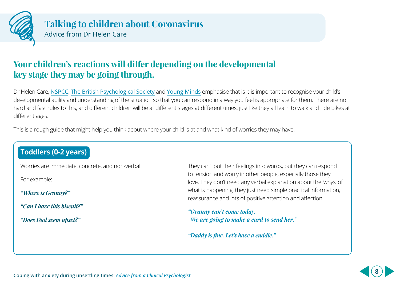

## **Your children's reactions will differ depending on the developmental key stage they may be going through.**

Dr Helen Care, NSPCC, The British Psychological Society and Young Minds emphasise that is it is important to recognise your child's developmental ability and understanding of the situation so that you can respond in a way you feel is appropriate for them. There are no hard and fast rules to this, and different children will be at different stages at different times, just like they all learn to walk and ride bikes at different ages.

This is a rough guide that might help you think about where your child is at and what kind of worries they may have.

## **Toddlers (0-2 years)**

Worries are immediate, concrete, and non-verbal.

For example:

*"Where is Granny?"* 

*"Can I have this biscuit?"* 

*"Does Dad seem upset?"*

They can't put their feelings into words, but they can respond to tension and worry in other people, especially those they love. They don't need any verbal explanation about the 'whys' of what is happening, they just need simple practical information, reassurance and lots of positive attention and affection.

*"Granny can't come today. We are going to make a card to send her."*

*"Daddy is fine. Let's have a cuddle."*

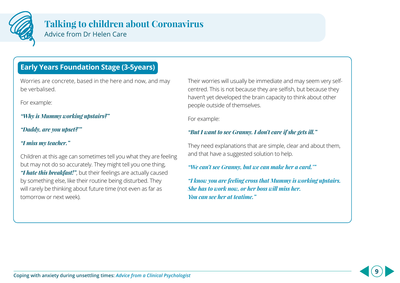

## **Talking to children about Coronavirus**

Advice from Dr Helen Care

## **Early Years Foundation Stage (3-5years)**

Worries are concrete, based in the here and now, and may be verbalised.

For example:

*"Why is Mummy working upstairs?"* 

*"Daddy, are you upset?'"* 

#### *"I miss my teacher."*

Children at this age can sometimes tell you what they are feeling but may not do so accurately. They might tell you one thing, *"I hate this breakfast!"*, but their feelings are actually caused by something else, like their routine being disturbed. They will rarely be thinking about future time (not even as far as tomorrow or next week).

Their worries will usually be immediate and may seem very selfcentred. This is not because they are selfish, but because they haven't yet developed the brain capacity to think about other people outside of themselves.

For example:

#### *"But I want to see Granny. I don't care if she gets ill."*

They need explanations that are simple, clear and about them, and that have a suggested solution to help.

*"We can't see Granny, but we can make her a card.'"*

*"I know you are feeling cross that Mummy is working upstairs. She has to work now, or her boss will miss her. You can see her at teatime."*

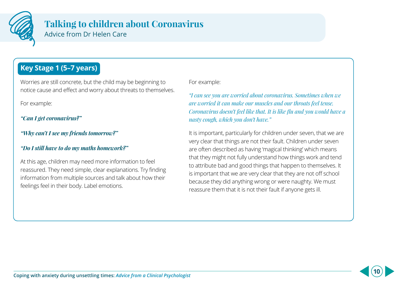

## **Key Stage 1 (5–7 years)**

Worries are still concrete, but the child may be beginning to notice cause and effect and worry about threats to themselves.

For example:

*"Can I get coronavirus?"* 

#### *"Why can't I see my friends tomorrow?"*

#### *"Do I still have to do my maths homework?"*

At this age, children may need more information to feel reassured. They need simple, clear explanations. Try finding information from multiple sources and talk about how their feelings feel in their body. Label emotions.

For example:

*"I can see you are worried about coronavirus. Sometimes when we are worried it can make our muscles and our throats feel tense. Coronavirus doesn't feel like that. It is like flu and you would have a nasty cough, which you don't have."*

It is important, particularly for children under seven, that we are very clear that things are not their fault. Children under seven are often described as having 'magical thinking' which means that they might not fully understand how things work and tend to attribute bad and good things that happen to themselves. It is important that we are very clear that they are not off school because they did anything wrong or were naughty. We must reassure them that it is not their fault if anyone gets ill.

**10**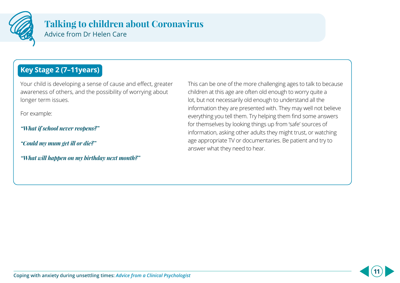

## **Key Stage 2 (7–11years)**

Your child is developing a sense of cause and effect, greater awareness of others, and the possibility of worrying about longer term issues.

For example:

*"What if school never reopens?"*

*"Could my mum get ill or die?"*

*"What will happen on my birthday next month?"*

This can be one of the more challenging ages to talk to because children at this age are often old enough to worry quite a lot, but not necessarily old enough to understand all the information they are presented with. They may well not believe everything you tell them. Try helping them find some answers for themselves by looking things up from 'safe' sources of information, asking other adults they might trust, or watching age appropriate TV or documentaries. Be patient and try to answer what they need to hear.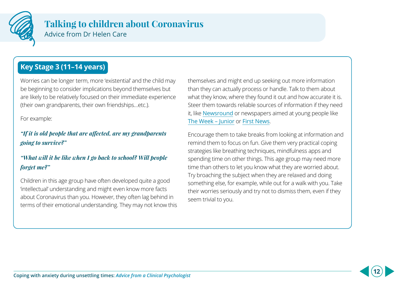

## **Key Stage 3 (11–14 years)**

Worries can be longer term, more 'existential' and the child may be beginning to consider implications beyond themselves but are likely to be relatively focused on their immediate experience (their own grandparents, their own friendships…etc.).

For example:

#### *"If it is old people that are affected, are my grandparents going to survive?"*

#### *"What will it be like when I go back to school? Will people forget me?"*

Children in this age group have often developed quite a good 'intellectual' understanding and might even know more facts about Coronavirus than you. However, they often lag behind in terms of their emotional understanding. They may not know this themselves and might end up seeking out more information than they can actually process or handle. Talk to them about what they know, where they found it out and how accurate it is. Steer them towards reliable sources of information if they need it, like [Newsround](https://www.bbc.co.uk/newsround) or newspapers aimed at young people like [The Week – Junior](https://theweekjunior.co.uk) or [First News](https://www.firstnews.co.uk).

Encourage them to take breaks from looking at information and remind them to focus on fun. Give them very practical coping strategies like breathing techniques, mindfulness apps and spending time on other things. This age group may need more time than others to let you know what they are worried about. Try broaching the subject when they are relaxed and doing something else, for example, while out for a walk with you. Take their worries seriously and try not to dismiss them, even if they seem trivial to you.